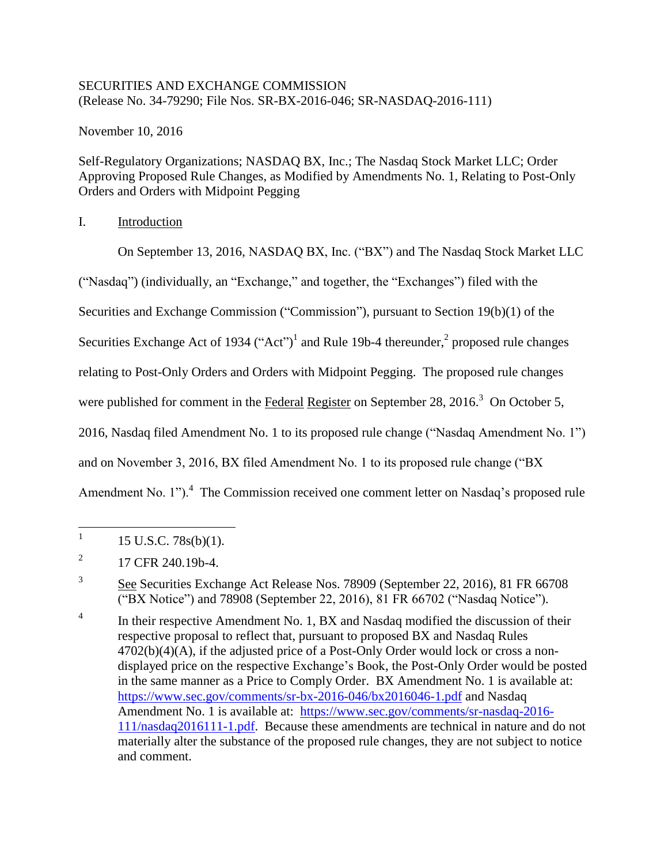## SECURITIES AND EXCHANGE COMMISSION (Release No. 34-79290; File Nos. SR-BX-2016-046; SR-NASDAQ-2016-111)

November 10, 2016

Self-Regulatory Organizations; NASDAQ BX, Inc.; The Nasdaq Stock Market LLC; Order Approving Proposed Rule Changes, as Modified by Amendments No. 1, Relating to Post-Only Orders and Orders with Midpoint Pegging

## I. Introduction

On September 13, 2016, NASDAQ BX, Inc. ("BX") and The Nasdaq Stock Market LLC

("Nasdaq") (individually, an "Exchange," and together, the "Exchanges") filed with the

Securities and Exchange Commission ("Commission"), pursuant to Section 19(b)(1) of the

Securities Exchange Act of 1934 ("Act")<sup>1</sup> and Rule 19b-4 thereunder,  $2$  proposed rule changes

relating to Post-Only Orders and Orders with Midpoint Pegging. The proposed rule changes

were published for comment in the Federal Register on September 28,  $2016<sup>3</sup>$  On October 5,

2016, Nasdaq filed Amendment No. 1 to its proposed rule change ("Nasdaq Amendment No. 1")

and on November 3, 2016, BX filed Amendment No. 1 to its proposed rule change ("BX

Amendment No. 1"). $4$  The Commission received one comment letter on Nasdaq's proposed rule

4 In their respective Amendment No. 1, BX and Nasdaq modified the discussion of their respective proposal to reflect that, pursuant to proposed BX and Nasdaq Rules  $4702(b)(4)(A)$ , if the adjusted price of a Post-Only Order would lock or cross a nondisplayed price on the respective Exchange's Book, the Post-Only Order would be posted in the same manner as a Price to Comply Order. BX Amendment No. 1 is available at: https://www.sec.gov/comments/sr-bx-2016-046/bx2016046-1.pdf and Nasdaq Amendment No. 1 is available at: https://www.sec.gov/comments/sr-nasdaq-2016-111/nasdaq2016111-1.pdf. Because these amendments are technical in nature and do not materially alter the substance of the proposed rule changes, they are not subject to notice and comment.

 $\frac{1}{1}$ 15 U.S.C. 78s(b)(1).

<sup>2</sup> 17 CFR 240.19b-4.

<sup>3</sup> See Securities Exchange Act Release Nos. 78909 (September 22, 2016), 81 FR 66708 ("BX Notice") and 78908 (September 22, 2016), 81 FR 66702 ("Nasdaq Notice").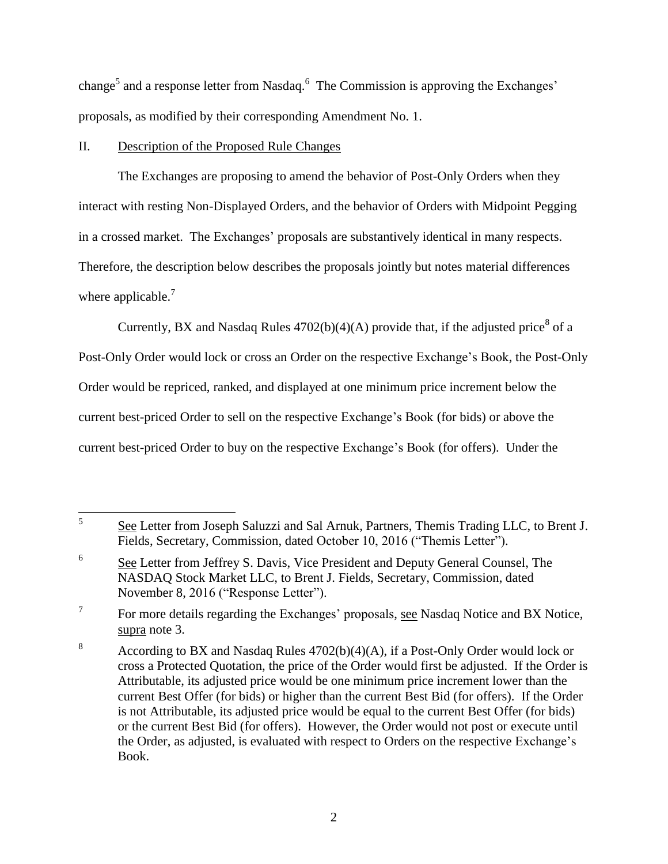change<sup>5</sup> and a response letter from Nasdaq.<sup>6</sup> The Commission is approving the Exchanges' proposals, as modified by their corresponding Amendment No. 1.

### II. Description of the Proposed Rule Changes

The Exchanges are proposing to amend the behavior of Post-Only Orders when they interact with resting Non-Displayed Orders, and the behavior of Orders with Midpoint Pegging in a crossed market. The Exchanges' proposals are substantively identical in many respects. Therefore, the description below describes the proposals jointly but notes material differences where applicable.<sup>7</sup>

Currently, BX and Nasdaq Rules  $4702(b)(4)(A)$  provide that, if the adjusted price<sup>8</sup> of a

Post-Only Order would lock or cross an Order on the respective Exchange's Book, the Post-Only Order would be repriced, ranked, and displayed at one minimum price increment below the current best-priced Order to sell on the respective Exchange's Book (for bids) or above the current best-priced Order to buy on the respective Exchange's Book (for offers). Under the

 5 See Letter from Joseph Saluzzi and Sal Arnuk, Partners, Themis Trading LLC, to Brent J. Fields, Secretary, Commission, dated October 10, 2016 ("Themis Letter").

<sup>6</sup> See Letter from Jeffrey S. Davis, Vice President and Deputy General Counsel, The NASDAQ Stock Market LLC, to Brent J. Fields, Secretary, Commission, dated November 8, 2016 ("Response Letter").

<sup>7</sup> For more details regarding the Exchanges' proposals, see Nasdaq Notice and BX Notice, supra note 3.

<sup>&</sup>lt;sup>8</sup> According to BX and Nasdaq Rules  $4702(b)(4)(A)$ , if a Post-Only Order would lock or cross a Protected Quotation, the price of the Order would first be adjusted. If the Order is Attributable, its adjusted price would be one minimum price increment lower than the current Best Offer (for bids) or higher than the current Best Bid (for offers). If the Order is not Attributable, its adjusted price would be equal to the current Best Offer (for bids) or the current Best Bid (for offers). However, the Order would not post or execute until the Order, as adjusted, is evaluated with respect to Orders on the respective Exchange's Book.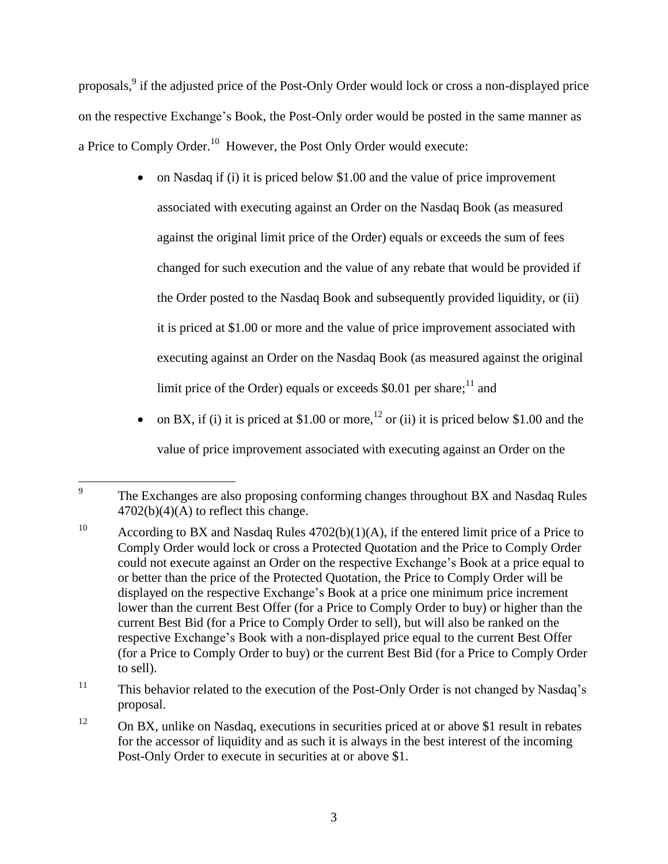proposals,<sup>9</sup> if the adjusted price of the Post-Only Order would lock or cross a non-displayed price on the respective Exchange's Book, the Post-Only order would be posted in the same manner as a Price to Comply Order. $^{10}$  However, the Post Only Order would execute:

- on Nasdaq if (i) it is priced below \$1.00 and the value of price improvement associated with executing against an Order on the Nasdaq Book (as measured against the original limit price of the Order) equals or exceeds the sum of fees changed for such execution and the value of any rebate that would be provided if the Order posted to the Nasdaq Book and subsequently provided liquidity, or (ii) it is priced at \$1.00 or more and the value of price improvement associated with executing against an Order on the Nasdaq Book (as measured against the original limit price of the Order) equals or exceeds \$0.01 per share;<sup>11</sup> and
- on BX, if (i) it is priced at \$1.00 or more,<sup>12</sup> or (ii) it is priced below \$1.00 and the value of price improvement associated with executing against an Order on the

<sup>—&</sup>lt;br>9 The Exchanges are also proposing conforming changes throughout BX and Nasdaq Rules  $4702(b)(4)(A)$  to reflect this change.

<sup>&</sup>lt;sup>10</sup> According to BX and Nasdaq Rules  $4702(b)(1)(A)$ , if the entered limit price of a Price to Comply Order would lock or cross a Protected Quotation and the Price to Comply Order could not execute against an Order on the respective Exchange's Book at a price equal to or better than the price of the Protected Quotation, the Price to Comply Order will be displayed on the respective Exchange's Book at a price one minimum price increment lower than the current Best Offer (for a Price to Comply Order to buy) or higher than the current Best Bid (for a Price to Comply Order to sell), but will also be ranked on the respective Exchange's Book with a non-displayed price equal to the current Best Offer (for a Price to Comply Order to buy) or the current Best Bid (for a Price to Comply Order to sell).

<sup>&</sup>lt;sup>11</sup> This behavior related to the execution of the Post-Only Order is not changed by Nasdaq's proposal.

 $12$  On BX, unlike on Nasdaq, executions in securities priced at or above \$1 result in rebates for the accessor of liquidity and as such it is always in the best interest of the incoming Post-Only Order to execute in securities at or above \$1.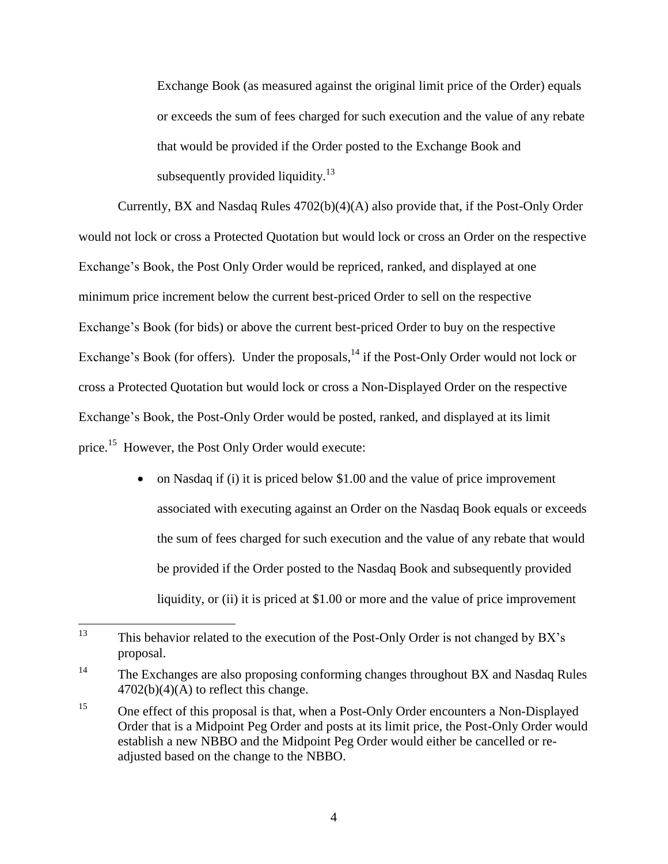Exchange Book (as measured against the original limit price of the Order) equals or exceeds the sum of fees charged for such execution and the value of any rebate that would be provided if the Order posted to the Exchange Book and subsequently provided liquidity.<sup>13</sup>

Currently, BX and Nasdaq Rules 4702(b)(4)(A) also provide that, if the Post-Only Order would not lock or cross a Protected Quotation but would lock or cross an Order on the respective Exchange's Book, the Post Only Order would be repriced, ranked, and displayed at one minimum price increment below the current best-priced Order to sell on the respective Exchange's Book (for bids) or above the current best-priced Order to buy on the respective Exchange's Book (for offers). Under the proposals, <sup>14</sup> if the Post-Only Order would not lock or cross a Protected Quotation but would lock or cross a Non-Displayed Order on the respective Exchange's Book, the Post-Only Order would be posted, ranked, and displayed at its limit price.<sup>15</sup> However, the Post Only Order would execute:

> • on Nasdaq if (i) it is priced below \$1.00 and the value of price improvement associated with executing against an Order on the Nasdaq Book equals or exceeds the sum of fees charged for such execution and the value of any rebate that would be provided if the Order posted to the Nasdaq Book and subsequently provided liquidity, or (ii) it is priced at \$1.00 or more and the value of price improvement

<sup>13</sup> This behavior related to the execution of the Post-Only Order is not changed by BX's proposal.

<sup>&</sup>lt;sup>14</sup> The Exchanges are also proposing conforming changes throughout BX and Nasdaq Rules  $4702(b)(4)(A)$  to reflect this change.

<sup>&</sup>lt;sup>15</sup> One effect of this proposal is that, when a Post-Only Order encounters a Non-Displayed Order that is a Midpoint Peg Order and posts at its limit price, the Post-Only Order would establish a new NBBO and the Midpoint Peg Order would either be cancelled or readjusted based on the change to the NBBO.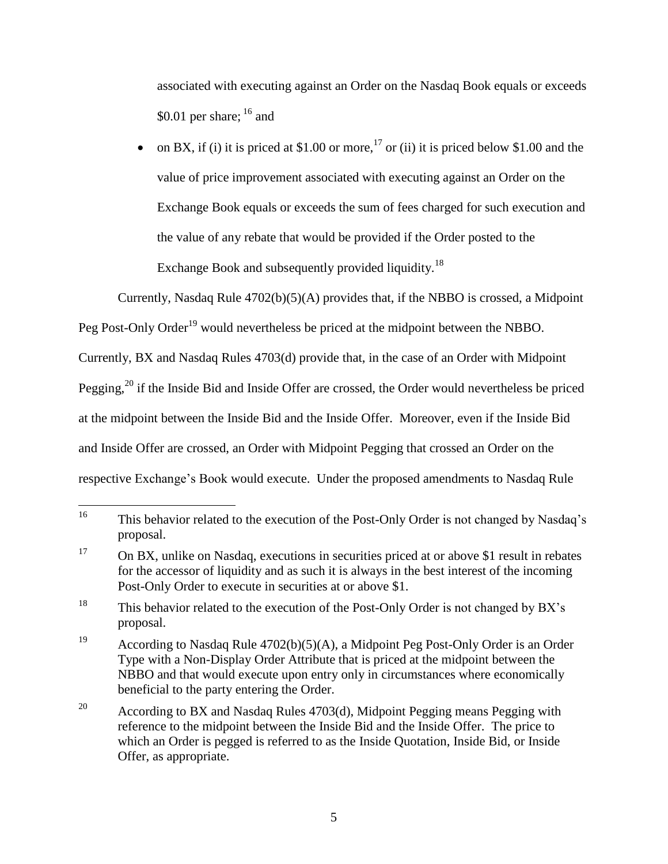associated with executing against an Order on the Nasdaq Book equals or exceeds \$0.01 per share;  $16$  and

on BX, if (i) it is priced at \$1.00 or more,  $^{17}$  or (ii) it is priced below \$1.00 and the value of price improvement associated with executing against an Order on the Exchange Book equals or exceeds the sum of fees charged for such execution and the value of any rebate that would be provided if the Order posted to the Exchange Book and subsequently provided liquidity.<sup>18</sup>

Currently, Nasdaq Rule 4702(b)(5)(A) provides that, if the NBBO is crossed, a Midpoint

Peg Post-Only Order<sup>19</sup> would nevertheless be priced at the midpoint between the NBBO.

Currently, BX and Nasdaq Rules 4703(d) provide that, in the case of an Order with Midpoint

Pegging,<sup>20</sup> if the Inside Bid and Inside Offer are crossed, the Order would nevertheless be priced

at the midpoint between the Inside Bid and the Inside Offer. Moreover, even if the Inside Bid

and Inside Offer are crossed, an Order with Midpoint Pegging that crossed an Order on the

respective Exchange's Book would execute. Under the proposed amendments to Nasdaq Rule

 $16\,$ This behavior related to the execution of the Post-Only Order is not changed by Nasdaq's proposal.

<sup>&</sup>lt;sup>17</sup> On BX, unlike on Nasdaq, executions in securities priced at or above \$1 result in rebates for the accessor of liquidity and as such it is always in the best interest of the incoming Post-Only Order to execute in securities at or above \$1.

<sup>&</sup>lt;sup>18</sup> This behavior related to the execution of the Post-Only Order is not changed by BX's proposal.

<sup>&</sup>lt;sup>19</sup> According to Nasdaq Rule  $4702(b)(5)(A)$ , a Midpoint Peg Post-Only Order is an Order Type with a Non-Display Order Attribute that is priced at the midpoint between the NBBO and that would execute upon entry only in circumstances where economically beneficial to the party entering the Order.

<sup>&</sup>lt;sup>20</sup> According to BX and Nasdaq Rules 4703(d), Midpoint Pegging means Pegging with reference to the midpoint between the Inside Bid and the Inside Offer. The price to which an Order is pegged is referred to as the Inside Quotation, Inside Bid, or Inside Offer, as appropriate.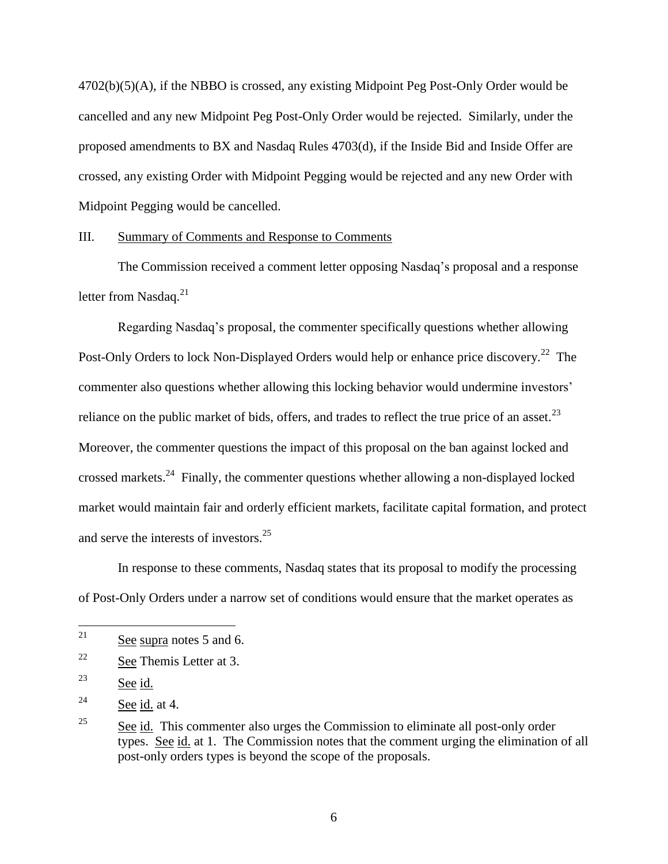4702(b)(5)(A), if the NBBO is crossed, any existing Midpoint Peg Post-Only Order would be cancelled and any new Midpoint Peg Post-Only Order would be rejected. Similarly, under the proposed amendments to BX and Nasdaq Rules 4703(d), if the Inside Bid and Inside Offer are crossed, any existing Order with Midpoint Pegging would be rejected and any new Order with Midpoint Pegging would be cancelled.

#### III. Summary of Comments and Response to Comments

The Commission received a comment letter opposing Nasdaq's proposal and a response letter from Nasdaq.<sup>21</sup>

Regarding Nasdaq's proposal, the commenter specifically questions whether allowing Post-Only Orders to lock Non-Displayed Orders would help or enhance price discovery.<sup>22</sup> The commenter also questions whether allowing this locking behavior would undermine investors' reliance on the public market of bids, offers, and trades to reflect the true price of an asset.<sup>23</sup> Moreover, the commenter questions the impact of this proposal on the ban against locked and crossed markets.<sup>24</sup> Finally, the commenter questions whether allowing a non-displayed locked market would maintain fair and orderly efficient markets, facilitate capital formation, and protect and serve the interests of investors.<sup>25</sup>

In response to these comments, Nasdaq states that its proposal to modify the processing of Post-Only Orders under a narrow set of conditions would ensure that the market operates as

 $22$  See Themis Letter at 3.

<sup>23</sup> See id.

 $24$  See id. at 4.

<sup>21</sup> See supra notes 5 and 6.

 $25$  See id. This commenter also urges the Commission to eliminate all post-only order types. See id. at 1. The Commission notes that the comment urging the elimination of all post-only orders types is beyond the scope of the proposals.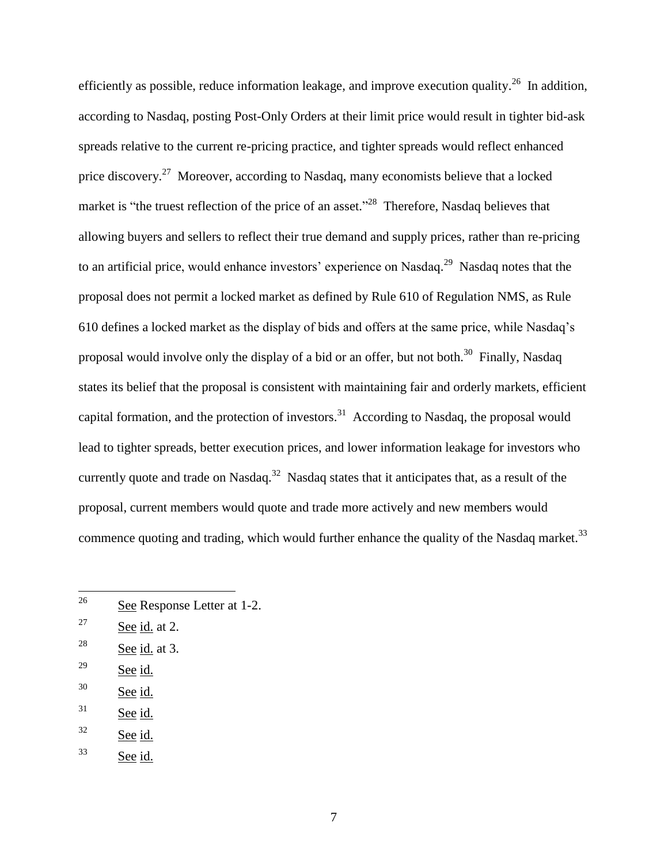efficiently as possible, reduce information leakage, and improve execution quality.<sup>26</sup> In addition, according to Nasdaq, posting Post-Only Orders at their limit price would result in tighter bid-ask spreads relative to the current re-pricing practice, and tighter spreads would reflect enhanced price discovery.<sup>27</sup> Moreover, according to Nasdaq, many economists believe that a locked market is "the truest reflection of the price of an asset."<sup>28</sup> Therefore, Nasdaq believes that allowing buyers and sellers to reflect their true demand and supply prices, rather than re-pricing to an artificial price, would enhance investors' experience on Nasdaq.<sup>29</sup> Nasdaq notes that the proposal does not permit a locked market as defined by Rule 610 of Regulation NMS, as Rule 610 defines a locked market as the display of bids and offers at the same price, while Nasdaq's proposal would involve only the display of a bid or an offer, but not both.<sup>30</sup> Finally, Nasdaq states its belief that the proposal is consistent with maintaining fair and orderly markets, efficient capital formation, and the protection of investors.<sup>31</sup> According to Nasdaq, the proposal would lead to tighter spreads, better execution prices, and lower information leakage for investors who currently quote and trade on Nasdaq.<sup>32</sup> Nasdaq states that it anticipates that, as a result of the proposal, current members would quote and trade more actively and new members would commence quoting and trading, which would further enhance the quality of the Nasdaq market.<sup>33</sup>

- $27$  See id. at 2.
- $28$  See id. at 3.
- <sup>29</sup> See id.
- <sup>30</sup> See id.
- $31$  See id.
- <sup>32</sup> See id.
- <sup>33</sup> See id.

 $26\,$ See Response Letter at 1-2.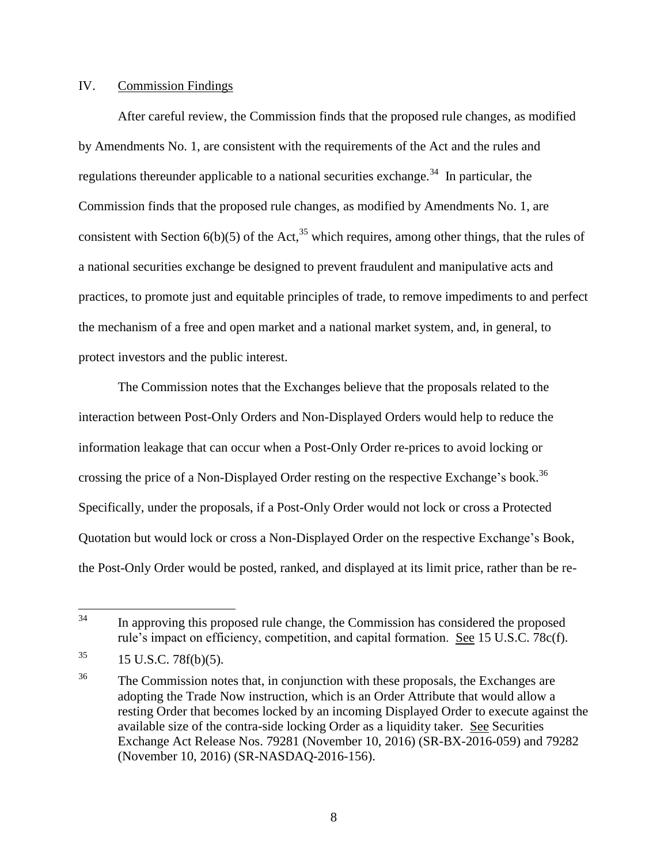#### IV. Commission Findings

After careful review, the Commission finds that the proposed rule changes, as modified by Amendments No. 1, are consistent with the requirements of the Act and the rules and regulations thereunder applicable to a national securities exchange.<sup>34</sup> In particular, the Commission finds that the proposed rule changes, as modified by Amendments No. 1, are consistent with Section  $6(b)(5)$  of the Act,<sup>35</sup> which requires, among other things, that the rules of a national securities exchange be designed to prevent fraudulent and manipulative acts and practices, to promote just and equitable principles of trade, to remove impediments to and perfect the mechanism of a free and open market and a national market system, and, in general, to protect investors and the public interest.

The Commission notes that the Exchanges believe that the proposals related to the interaction between Post-Only Orders and Non-Displayed Orders would help to reduce the information leakage that can occur when a Post-Only Order re-prices to avoid locking or crossing the price of a Non-Displayed Order resting on the respective Exchange's book.<sup>36</sup> Specifically, under the proposals, if a Post-Only Order would not lock or cross a Protected Quotation but would lock or cross a Non-Displayed Order on the respective Exchange's Book, the Post-Only Order would be posted, ranked, and displayed at its limit price, rather than be re-

<sup>34</sup> In approving this proposed rule change, the Commission has considered the proposed rule's impact on efficiency, competition, and capital formation. See 15 U.S.C. 78c(f).

 $35$  15 U.S.C. 78f(b)(5).

<sup>&</sup>lt;sup>36</sup> The Commission notes that, in conjunction with these proposals, the Exchanges are adopting the Trade Now instruction, which is an Order Attribute that would allow a resting Order that becomes locked by an incoming Displayed Order to execute against the available size of the contra-side locking Order as a liquidity taker. See Securities Exchange Act Release Nos. 79281 (November 10, 2016) (SR-BX-2016-059) and 79282 (November 10, 2016) (SR-NASDAQ-2016-156).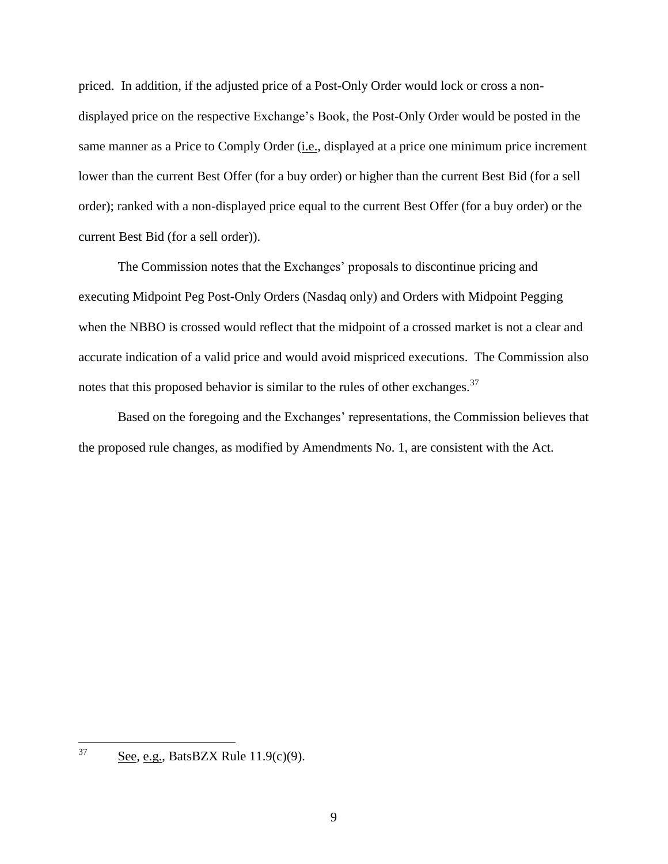priced. In addition, if the adjusted price of a Post-Only Order would lock or cross a nondisplayed price on the respective Exchange's Book, the Post-Only Order would be posted in the same manner as a Price to Comply Order (i.e., displayed at a price one minimum price increment lower than the current Best Offer (for a buy order) or higher than the current Best Bid (for a sell order); ranked with a non-displayed price equal to the current Best Offer (for a buy order) or the current Best Bid (for a sell order)).

The Commission notes that the Exchanges' proposals to discontinue pricing and executing Midpoint Peg Post-Only Orders (Nasdaq only) and Orders with Midpoint Pegging when the NBBO is crossed would reflect that the midpoint of a crossed market is not a clear and accurate indication of a valid price and would avoid mispriced executions. The Commission also notes that this proposed behavior is similar to the rules of other exchanges.<sup>37</sup>

Based on the foregoing and the Exchanges' representations, the Commission believes that the proposed rule changes, as modified by Amendments No. 1, are consistent with the Act.

<sup>37</sup> See, e.g., BatsBZX Rule 11.9(c)(9).